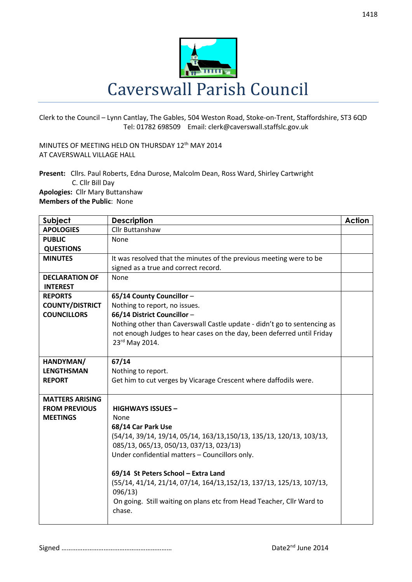

Clerk to the Council – Lynn Cantlay, The Gables, 504 Weston Road, Stoke-on-Trent, Staffordshire, ST3 6QD Tel: 01782 698509 Email: clerk@caverswall.staffslc.gov.uk

MINUTES OF MEETING HELD ON THURSDAY 12th MAY 2014 AT CAVERSWALL VILLAGE HALL

**Present:** Cllrs. Paul Roberts, Edna Durose, Malcolm Dean, Ross Ward, Shirley Cartwright C. Cllr Bill Day **Apologies:** Cllr Mary Buttanshaw **Members of the Public**: None

| Subject                | <b>Description</b>                                                       | <b>Action</b> |
|------------------------|--------------------------------------------------------------------------|---------------|
| <b>APOLOGIES</b>       | <b>Cllr Buttanshaw</b>                                                   |               |
| <b>PUBLIC</b>          | None                                                                     |               |
| <b>QUESTIONS</b>       |                                                                          |               |
| <b>MINUTES</b>         | It was resolved that the minutes of the previous meeting were to be      |               |
|                        | signed as a true and correct record.                                     |               |
| <b>DECLARATION OF</b>  | None                                                                     |               |
| <b>INTEREST</b>        |                                                                          |               |
| <b>REPORTS</b>         | 65/14 County Councillor-                                                 |               |
| <b>COUNTY/DISTRICT</b> | Nothing to report, no issues.                                            |               |
| <b>COUNCILLORS</b>     | 66/14 District Councillor-                                               |               |
|                        | Nothing other than Caverswall Castle update - didn't go to sentencing as |               |
|                        | not enough Judges to hear cases on the day, been deferred until Friday   |               |
|                        | 23rd May 2014.                                                           |               |
|                        |                                                                          |               |
| HANDYMAN/              | 67/14                                                                    |               |
| <b>LENGTHSMAN</b>      | Nothing to report.                                                       |               |
| <b>REPORT</b>          | Get him to cut verges by Vicarage Crescent where daffodils were.         |               |
|                        |                                                                          |               |
| <b>MATTERS ARISING</b> |                                                                          |               |
| <b>FROM PREVIOUS</b>   | <b>HIGHWAYS ISSUES -</b>                                                 |               |
| <b>MEETINGS</b>        | None                                                                     |               |
|                        | 68/14 Car Park Use                                                       |               |
|                        | (54/14, 39/14, 19/14, 05/14, 163/13,150/13, 135/13, 120/13, 103/13,      |               |
|                        | 085/13, 065/13, 050/13, 037/13, 023/13)                                  |               |
|                        | Under confidential matters - Councillors only.                           |               |
|                        |                                                                          |               |
|                        | 69/14 St Peters School - Extra Land                                      |               |
|                        | (55/14, 41/14, 21/14, 07/14, 164/13,152/13, 137/13, 125/13, 107/13,      |               |
|                        | 096/13                                                                   |               |
|                        | On going. Still waiting on plans etc from Head Teacher, Cllr Ward to     |               |
|                        | chase.                                                                   |               |
|                        |                                                                          |               |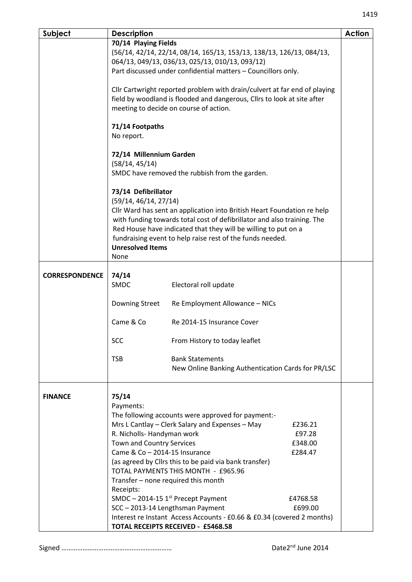| Subject               | <b>Description</b>                                                                                                                                                                                                                                                                                                                                                          |                                                                              |  | <b>Action</b> |  |
|-----------------------|-----------------------------------------------------------------------------------------------------------------------------------------------------------------------------------------------------------------------------------------------------------------------------------------------------------------------------------------------------------------------------|------------------------------------------------------------------------------|--|---------------|--|
|                       | 70/14 Playing Fields                                                                                                                                                                                                                                                                                                                                                        |                                                                              |  |               |  |
|                       | (56/14, 42/14, 22/14, 08/14, 165/13, 153/13, 138/13, 126/13, 084/13,                                                                                                                                                                                                                                                                                                        |                                                                              |  |               |  |
|                       | 064/13, 049/13, 036/13, 025/13, 010/13, 093/12)                                                                                                                                                                                                                                                                                                                             |                                                                              |  |               |  |
|                       | Part discussed under confidential matters - Councillors only.                                                                                                                                                                                                                                                                                                               |                                                                              |  |               |  |
|                       | Cllr Cartwright reported problem with drain/culvert at far end of playing<br>field by woodland is flooded and dangerous, Cllrs to look at site after<br>meeting to decide on course of action.                                                                                                                                                                              |                                                                              |  |               |  |
|                       |                                                                                                                                                                                                                                                                                                                                                                             |                                                                              |  |               |  |
|                       | 71/14 Footpaths<br>No report.                                                                                                                                                                                                                                                                                                                                               |                                                                              |  |               |  |
|                       | 72/14 Millennium Garden<br>(58/14, 45/14)<br>SMDC have removed the rubbish from the garden.                                                                                                                                                                                                                                                                                 |                                                                              |  |               |  |
|                       | 73/14 Defibrillator<br>(59/14, 46/14, 27/14)<br>Cllr Ward has sent an application into British Heart Foundation re help<br>with funding towards total cost of defibrillator and also training. The                                                                                                                                                                          |                                                                              |  |               |  |
|                       | Red House have indicated that they will be willing to put on a<br>fundraising event to help raise rest of the funds needed.<br><b>Unresolved Items</b><br>None                                                                                                                                                                                                              |                                                                              |  |               |  |
|                       |                                                                                                                                                                                                                                                                                                                                                                             |                                                                              |  |               |  |
| <b>CORRESPONDENCE</b> | 74/14<br><b>SMDC</b>                                                                                                                                                                                                                                                                                                                                                        | Electoral roll update                                                        |  |               |  |
|                       | Downing Street                                                                                                                                                                                                                                                                                                                                                              | Re Employment Allowance - NICs                                               |  |               |  |
|                       | Came & Co                                                                                                                                                                                                                                                                                                                                                                   | Re 2014-15 Insurance Cover                                                   |  |               |  |
|                       | <b>SCC</b>                                                                                                                                                                                                                                                                                                                                                                  | From History to today leaflet                                                |  |               |  |
|                       | <b>TSB</b>                                                                                                                                                                                                                                                                                                                                                                  | <b>Bank Statements</b><br>New Online Banking Authentication Cards for PR/LSC |  |               |  |
| <b>FINANCE</b>        | 75/14<br>Payments:<br>The following accounts were approved for payment:-<br>Mrs L Cantlay - Clerk Salary and Expenses - May<br>£236.21<br>R. Nicholls- Handyman work<br>£97.28<br><b>Town and Country Services</b><br>£348.00<br>Came & Co - 2014-15 Insurance<br>£284.47                                                                                                   |                                                                              |  |               |  |
|                       | (as agreed by Cllrs this to be paid via bank transfer)<br>TOTAL PAYMENTS THIS MONTH - £965.96<br>Transfer - none required this month<br>Receipts:<br>SMDC - 2014-15 $1st$ Precept Payment<br>£4768.58<br>SCC - 2013-14 Lengthsman Payment<br>£699.00<br>Interest re Instant Access Accounts - £0.66 & £0.34 (covered 2 months)<br><b>TOTAL RECEIPTS RECEIVED - £5468.58</b> |                                                                              |  |               |  |